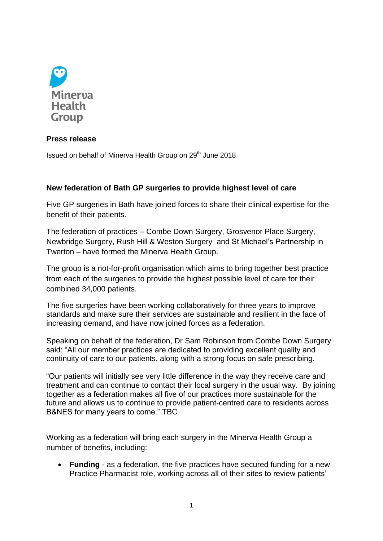

## **Press release**

Issued on behalf of Minerva Health Group on 29<sup>th</sup> June 2018

## **New federation of Bath GP surgeries to provide highest level of care**

Five GP surgeries in Bath have joined forces to share their clinical expertise for the benefit of their patients.

The federation of practices – Combe Down Surgery, Grosvenor Place Surgery, Newbridge Surgery, Rush Hill & Weston Surgery and St Michael's Partnership in Twerton – have formed the Minerva Health Group.

The group is a not-for-profit organisation which aims to bring together best practice from each of the surgeries to provide the highest possible level of care for their combined 34,000 patients.

The five surgeries have been working collaboratively for three years to improve standards and make sure their services are sustainable and resilient in the face of increasing demand, and have now joined forces as a federation.

Speaking on behalf of the federation, Dr Sam Robinson from Combe Down Surgery said: "All our member practices are dedicated to providing excellent quality and continuity of care to our patients, along with a strong focus on safe prescribing.

"Our patients will initially see very little difference in the way they receive care and treatment and can continue to contact their local surgery in the usual way. By joining together as a federation makes all five of our practices more sustainable for the future and allows us to continue to provide patient-centred care to residents across B&NES for many years to come." TBC

Working as a federation will bring each surgery in the Minerva Health Group a number of benefits, including:

 **Funding** - as a federation, the five practices have secured funding for a new Practice Pharmacist role, working across all of their sites to review patients'